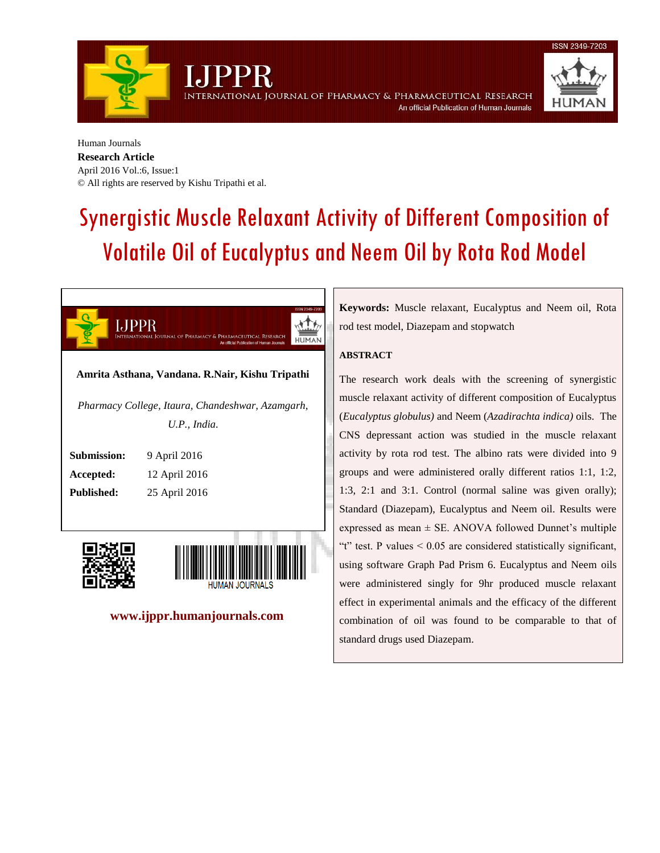rnational Journal of Pharmacy & Pharmaceutical Research



Human Journals **Research Article** April 2016 Vol.:6, Issue:1 © All rights are reserved by Kishu Tripathi et al.

# Synergistic Muscle Relaxant Activity of Different Composition of Volatile Oil of Eucalyptus and Neem Oil by Rota Rod Model







 **www.ijppr.humanjournals.com**

**Keywords:** Muscle relaxant, Eucalyptus and Neem oil, Rota rod test model, Diazepam and stopwatch

An official Publication of Human Journals

## **ABSTRACT**

The research work deals with the screening of synergistic muscle relaxant activity of different composition of Eucalyptus (*Eucalyptus globulus)* and Neem (*Azadirachta indica)* oils. The CNS depressant action was studied in the muscle relaxant activity by rota rod test. The albino rats were divided into 9 groups and were administered orally different ratios 1:1, 1:2, 1:3, 2:1 and 3:1. Control (normal saline was given orally); Standard (Diazepam), Eucalyptus and Neem oil. Results were expressed as mean  $\pm$  SE. ANOVA followed Dunnet's multiple "t" test. P values  $\leq 0.05$  are considered statistically significant, using software Graph Pad Prism 6. Eucalyptus and Neem oils were administered singly for 9hr produced muscle relaxant effect in experimental animals and the efficacy of the different combination of oil was found to be comparable to that of standard drugs used Diazepam.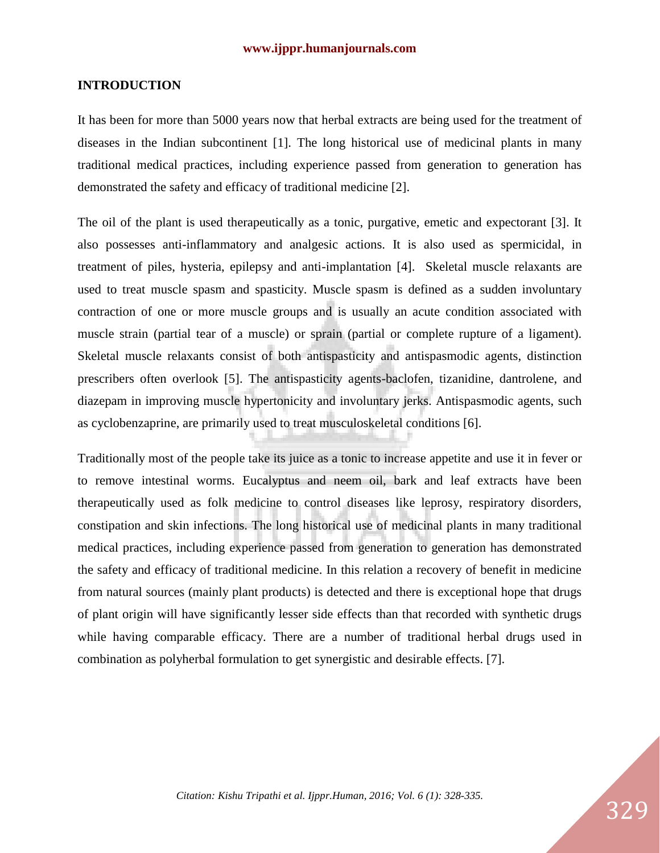# **INTRODUCTION**

It has been for more than 5000 years now that herbal extracts are being used for the treatment of diseases in the Indian subcontinent [1]. The long historical use of medicinal plants in many traditional medical practices, including experience passed from generation to generation has demonstrated the safety and efficacy of traditional medicine [2].

The oil of the plant is used therapeutically as a tonic, purgative, emetic and expectorant [3]. It also possesses anti-inflammatory and analgesic actions. It is also used as spermicidal, in treatment of piles, hysteria, epilepsy and anti-implantation [4]. Skeletal muscle relaxants are used to treat muscle spasm and spasticity. Muscle spasm is defined as a sudden involuntary contraction of one or more muscle groups and is usually an acute condition associated with muscle strain (partial tear of a muscle) or sprain (partial or complete rupture of a ligament). Skeletal muscle relaxants consist of both antispasticity and antispasmodic agents, distinction prescribers often overlook [5]. The antispasticity agents-baclofen, tizanidine, dantrolene, and diazepam in improving muscle hypertonicity and involuntary jerks. Antispasmodic agents, such as cyclobenzaprine, are primarily used to treat musculoskeletal conditions [6].

Traditionally most of the people take its juice as a tonic to increase appetite and use it in fever or to remove intestinal worms. Eucalyptus and neem oil, bark and leaf extracts have been therapeutically used as folk medicine to control diseases like leprosy, respiratory disorders, constipation and skin infections. The long historical use of medicinal plants in many traditional medical practices, including experience passed from generation to generation has demonstrated the safety and efficacy of traditional medicine. In this relation a recovery of benefit in medicine from natural sources (mainly plant products) is detected and there is exceptional hope that drugs of plant origin will have significantly lesser side effects than that recorded with synthetic drugs while having comparable efficacy. There are a number of traditional herbal drugs used in combination as polyherbal formulation to get synergistic and desirable effects. [7].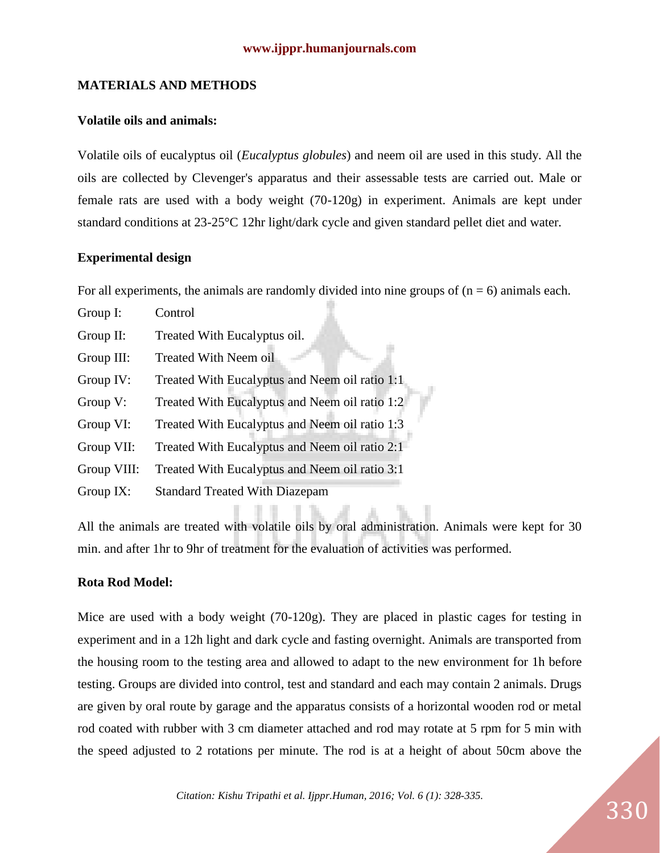## **MATERIALS AND METHODS**

## **Volatile oils and animals:**

Volatile oils of eucalyptus oil (*Eucalyptus globules*) and neem oil are used in this study. All the oils are collected by Clevenger's apparatus and their assessable tests are carried out. Male or female rats are used with a body weight (70-120g) in experiment. Animals are kept under standard conditions at 23-25°C 12hr light/dark cycle and given standard pellet diet and water*.*

## **Experimental design**

For all experiments, the animals are randomly divided into nine groups of  $(n = 6)$  animals each.

Group I: Control Group II: Treated With Eucalyptus oil. Group III: Treated With Neem oil Group IV: Treated With Eucalyptus and Neem oil ratio 1:1 Group V: Treated With Eucalyptus and Neem oil ratio 1:2 Group VI: Treated With Eucalyptus and Neem oil ratio 1:3 Group VII: Treated With Eucalyptus and Neem oil ratio 2:1 Group VIII: Treated With Eucalyptus and Neem oil ratio 3:1 Group IX: Standard Treated With Diazepam

All the animals are treated with volatile oils by oral administration. Animals were kept for 30 min. and after 1hr to 9hr of treatment for the evaluation of activities was performed.

# **Rota Rod Model:**

Mice are used with a body weight (70-120g). They are placed in plastic cages for testing in experiment and in a 12h light and dark cycle and fasting overnight. Animals are transported from the housing room to the testing area and allowed to adapt to the new environment for 1h before testing. Groups are divided into control, test and standard and each may contain 2 animals. Drugs are given by oral route by garage and the apparatus consists of a horizontal wooden rod or metal rod coated with rubber with 3 cm diameter attached and rod may rotate at 5 rpm for 5 min with the speed adjusted to 2 rotations per minute. The rod is at a height of about 50cm above the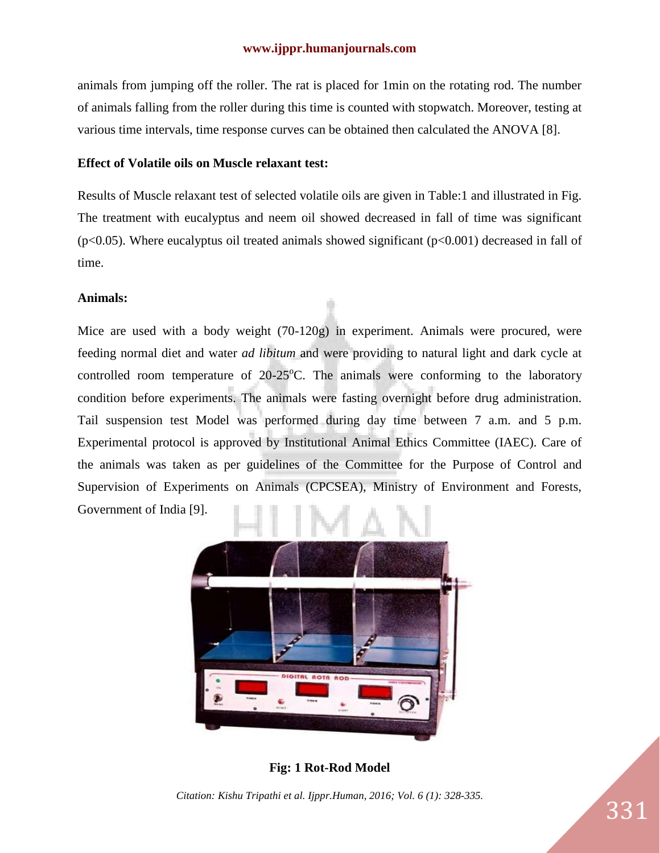animals from jumping off the roller. The rat is placed for 1min on the rotating rod. The number of animals falling from the roller during this time is counted with stopwatch. Moreover, testing at various time intervals, time response curves can be obtained then calculated the ANOVA [8].

#### **Effect of Volatile oils on Muscle relaxant test:**

Results of Muscle relaxant test of selected volatile oils are given in Table:1 and illustrated in Fig. The treatment with eucalyptus and neem oil showed decreased in fall of time was significant ( $p<0.05$ ). Where eucalyptus oil treated animals showed significant ( $p<0.001$ ) decreased in fall of time.

## **Animals:**

Mice are used with a body weight (70-120g) in experiment. Animals were procured, were feeding normal diet and water *ad libitum* and were providing to natural light and dark cycle at controlled room temperature of  $20-25^{\circ}$ C. The animals were conforming to the laboratory condition before experiments. The animals were fasting overnight before drug administration. Tail suspension test Model was performed during day time between 7 a.m. and 5 p.m. Experimental protocol is approved by Institutional Animal Ethics Committee (IAEC). Care of the animals was taken as per guidelines of the Committee for the Purpose of Control and Supervision of Experiments on Animals (CPCSEA), Ministry of Environment and Forests, Government of India [9].



**Fig: 1 Rot-Rod Model**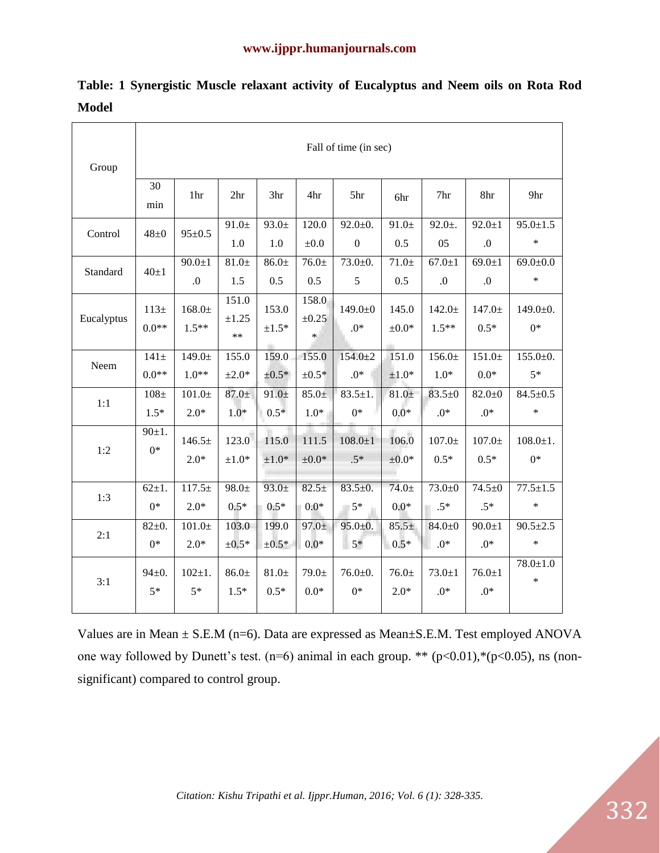| Group      | Fall of time (in sec) |                            |                             |                      |                               |                                   |                     |                        |                         |                          |
|------------|-----------------------|----------------------------|-----------------------------|----------------------|-------------------------------|-----------------------------------|---------------------|------------------------|-------------------------|--------------------------|
|            | 30<br>min             | 1hr                        | 2 <sub>hr</sub>             | 3hr                  | 4hr                           | 5hr                               | 6hr                 | 7hr                    | 8hr                     | 9hr                      |
| Control    | $48\pm0$              | $95 \pm 0.5$               | $91.0+$<br>1.0              | $93.0+$<br>1.0       | 120.0<br>$\pm 0.0$            | $92.0 \pm 0.$<br>$\boldsymbol{0}$ | $91.0+$<br>0.5      | $92.0 +$ .<br>05       | $92.0 \pm 1$<br>$\cdot$ | $95.0 \pm 1.5$<br>$\ast$ |
| Standard   | $40\pm1$              | $90.0 \pm 1$<br>$\Omega$ . | $81.0\pm$<br>1.5            | $86.0+$<br>0.5       | $76.0+$<br>0.5                | $73.0 + 0.$<br>5                  | $71.0+$<br>0.5      | $67.0 \pm 1$<br>0.     | $69.0 \pm 1$<br>$\cdot$ | $69.0 \pm 0.0$<br>$\ast$ |
| Eucalyptus | $113+$<br>$0.0**$     | $168.0\pm$<br>$1.5**$      | 151.0<br>$\pm 1.25$<br>$**$ | 153.0<br>$\pm 1.5^*$ | 158.0<br>$\pm 0.25$<br>$\ast$ | $149.0 \pm 0$<br>$.0*$            | 145.0<br>$\pm 0.0*$ | $142.0 \pm$<br>$1.5**$ | $147.0+$<br>$0.5*$      | $149.0 \pm 0.$<br>$0*$   |
| Neem       | $141\pm$              | $149.0 \pm$                | 155.0                       | 159.0                | 155.0                         | $154.0 \pm 2$                     | 151.0               | 156.0±                 | $151.0+$                | $155.0 \pm 0.$           |
|            | $0.0**$               | $1.0**$                    | $\pm 2.0*$                  | $\pm 0.5*$           | $\pm 0.5*$                    | $.0*$                             | $\pm 1.0*$          | $1.0*$                 | $0.0*$                  | $5*$                     |
| 1:1        | $108\pm$              | $101.0+$                   | $87.0+$                     | $91.0+$              | $85.0+$                       | $83.5 \pm 1.$                     | $81.0+$             | $83.5 + 0$             | $82.0 + 0$              | $84.5 \pm 0.5$           |
|            | $1.5*$                | $2.0*$                     | $1.0*$                      | $0.5*$               | $1.0*$                        | $0*$                              | $0.0*$              | $.0*$                  | $.0*$                   | $\ast$                   |
| 1:2        | $90 \pm 1.$           | $146.5\pm$                 | 123.0                       | 115.0                | 111.5                         | $108.0 \pm 1$                     | 106.0               | $107.0\pm$             | $107.0+$                | $108.0 \pm 1.$           |
|            | $0*$                  | $2.0*$                     | $\pm 1.0*$                  | $\pm 1.0*$           | $\pm 0.0*$                    | $.5*$                             | $\pm 0.0*$          | $0.5*$                 | $0.5*$                  | $0*$                     |
| 1:3        | $62 \pm 1.$           | $117.5+$                   | $98.0+$                     | $93.0+$              | $82.5+$                       | $83.5 \pm 0.$                     | $74.0+$             | $73.0 + 0$             | $74.5 + 0$              | $77.5 \pm 1.5$           |
|            | $0*$                  | $2.0*$                     | $0.5*$                      | $0.5*$               | $0.0*$                        | $5*$                              | $0.0*$              | $\Box$ .5*             | $.5*$                   | $\ast$                   |
| 2:1        | $82+0.$               | $101.0+$                   | 103.0                       | 199.0                | $97.0+$                       | $95.0 \pm 0.$                     | $85.5+$             | $84.0 + 0$             | $90.0 \pm 1$            | $90.5 \pm 2.5$           |
|            | $0*$                  | $2.0*$                     | $\pm 0.5*$                  | $\pm 0.5*$           | $0.0*$                        | $5*$                              | $0.5*$              | $.0*$                  | $.0*$                   | $\ast$                   |
| 3:1        | $94 \pm 0.$           | $102 \pm 1.$               | $86.0+$                     | $81.0+$              | $79.0+$                       | $76.0 + 0.$                       | $76.0 \pm$          | $73.0 + 1$             | $76.0 \pm 1$            | $78.0 \pm 1.0$           |
|            | $5*$                  | $5*$                       | $1.5*$                      | $0.5*$               | $0.0*$                        | $0*$                              | $2.0*$              | $.0*$                  | $.0*$                   | $\ast$                   |

**Table: 1 Synergistic Muscle relaxant activity of Eucalyptus and Neem oils on Rota Rod Model** 

Values are in Mean  $\pm$  S.E.M (n=6). Data are expressed as Mean $\pm$ S.E.M. Test employed ANOVA one way followed by Dunett's test.  $(n=6)$  animal in each group. \*\*  $(p<0.01)$ ,\* $(p<0.05)$ , ns (nonsignificant) compared to control group.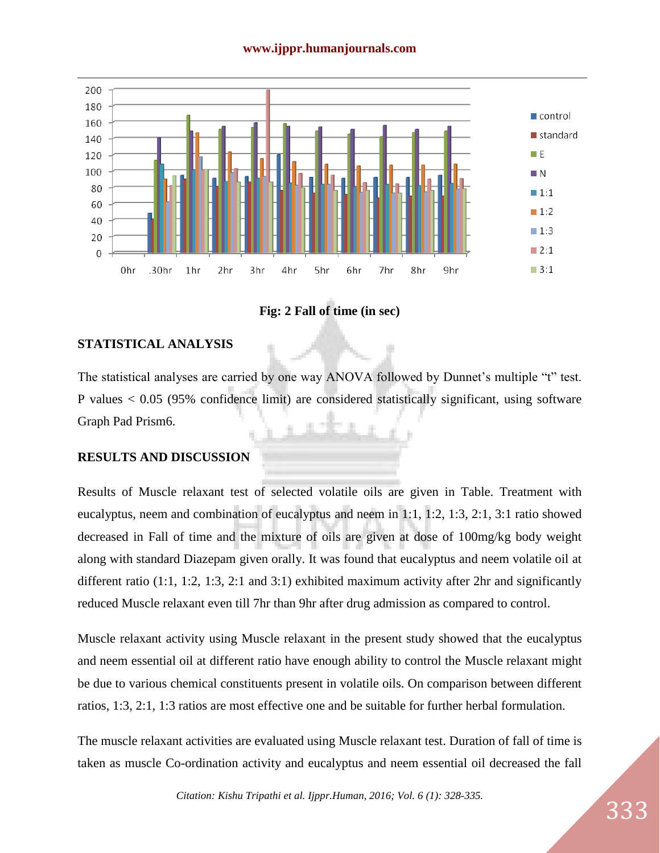

**Fig: 2 Fall of time (in sec)**

# **STATISTICAL ANALYSIS**

The statistical analyses are carried by one way ANOVA followed by Dunnet's multiple "t" test. P values < 0.05 (95% confidence limit) are considered statistically significant, using software Graph Pad Prism6.

# **RESULTS AND DISCUSSION**

Results of Muscle relaxant test of selected volatile oils are given in Table. Treatment with eucalyptus, neem and combination of eucalyptus and neem in 1:1, 1:2, 1:3, 2:1, 3:1 ratio showed decreased in Fall of time and the mixture of oils are given at dose of 100mg/kg body weight along with standard Diazepam given orally. It was found that eucalyptus and neem volatile oil at different ratio (1:1, 1:2, 1:3, 2:1 and 3:1) exhibited maximum activity after 2hr and significantly reduced Muscle relaxant even till 7hr than 9hr after drug admission as compared to control.

Muscle relaxant activity using Muscle relaxant in the present study showed that the eucalyptus and neem essential oil at different ratio have enough ability to control the Muscle relaxant might be due to various chemical constituents present in volatile oils. On comparison between different ratios, 1:3, 2:1, 1:3 ratios are most effective one and be suitable for further herbal formulation.

The muscle relaxant activities are evaluated using Muscle relaxant test. Duration of fall of time is taken as muscle Co-ordination activity and eucalyptus and neem essential oil decreased the fall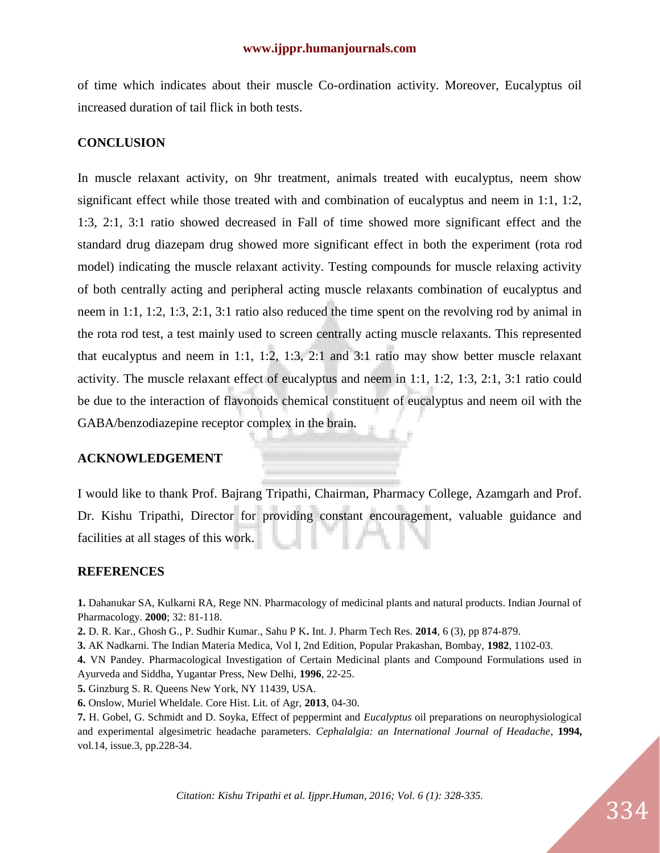of time which indicates about their muscle Co-ordination activity. Moreover, Eucalyptus oil increased duration of tail flick in both tests.

#### **CONCLUSION**

In muscle relaxant activity, on 9hr treatment, animals treated with eucalyptus, neem show significant effect while those treated with and combination of eucalyptus and neem in 1:1, 1:2, 1:3, 2:1, 3:1 ratio showed decreased in Fall of time showed more significant effect and the standard drug diazepam drug showed more significant effect in both the experiment (rota rod model) indicating the muscle relaxant activity. Testing compounds for muscle relaxing activity of both centrally acting and peripheral acting muscle relaxants combination of eucalyptus and neem in 1:1, 1:2, 1:3, 2:1, 3:1 ratio also reduced the time spent on the revolving rod by animal in the rota rod test, a test mainly used to screen centrally acting muscle relaxants. This represented that eucalyptus and neem in 1:1, 1:2, 1:3, 2:1 and 3:1 ratio may show better muscle relaxant activity. The muscle relaxant effect of eucalyptus and neem in 1:1, 1:2, 1:3, 2:1, 3:1 ratio could be due to the interaction of flavonoids chemical constituent of eucalyptus and neem oil with the GABA/benzodiazepine receptor complex in the brain.

## **ACKNOWLEDGEMENT**

I would like to thank Prof. Bajrang Tripathi, Chairman, Pharmacy College, Azamgarh and Prof. Dr. Kishu Tripathi, Director for providing constant encouragement, valuable guidance and facilities at all stages of this work.

## **REFERENCES**

**1.** Dahanukar SA, Kulkarni RA, Rege NN. Pharmacology of medicinal plants and natural products. Indian Journal of Pharmacology. **2000**; 32: 81-118.

**2.** D. R. Kar., Ghosh G., P. Sudhir Kumar., Sahu P K**.** Int. J. Pharm Tech Res. **2014**, 6 (3), pp 874-879.

**3.** AK Nadkarni. The Indian Materia Medica, Vol I, 2nd Edition, Popular Prakashan, Bombay, **1982**, 1102-03.

**4.** VN Pandey. Pharmacological Investigation of Certain Medicinal plants and Compound Formulations used in Ayurveda and Siddha, Yugantar Press, New Delhi, **1996**, 22-25.

**5.** Ginzburg S. R. Queens New York, NY 11439, USA.

**6.** Onslow, Muriel Wheldale. Core Hist. Lit. of Agr, **2013**, 04-30.

**7.** H. Gobel, G. Schmidt and D. Soyka, Effect of peppermint and *Eucalyptus* oil preparations on neurophysiological and experimental algesimetric headache parameters. *Cephalalgia: an International Journal of Headache*, **1994,** vol.14, issue.3, pp.228-34.